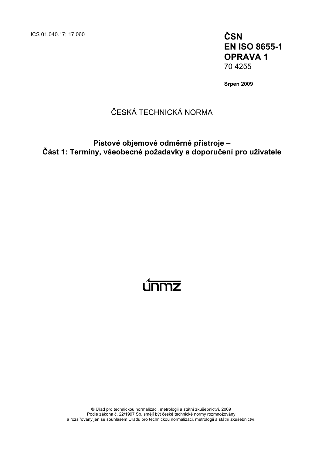ICS 01.040.17; 17.060 **ČSN** 

**EN ISO 8655-1 OPRAVA 1** 70 4255

**Srpen 2009** 

### ČESKÁ TECHNICKÁ NORMA

**Pístové objemové odměrné přístroje – Část 1: Termíny, všeobecné požadavky a doporučení pro uživatele** 

# unnz

© Úřad pro technickou normalizaci, metrologii a státní zkušebnictví, 2009 Podle zákona č. 22/1997 Sb. smějí být české technické normy rozmnožovány a rozšiřovány jen se souhlasem Úřadu pro technickou normalizaci, metrologii a státní zkušebnictví.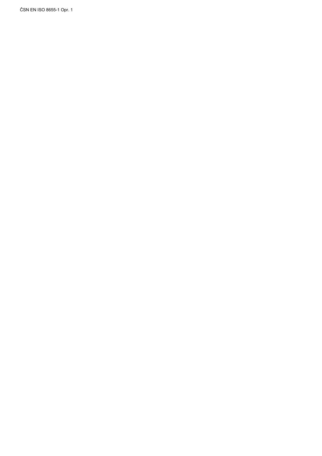ČSN EN ISO 8655-1 Opr. 1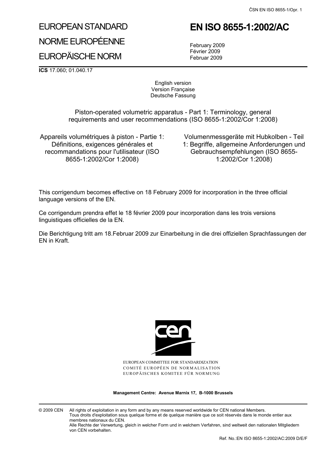### EUROPEAN STANDARD

## NORME EUROPÉENNE

### EUROPÄISCHE NORM

 **EN ISO 8655-1:2002/AC** 

 February 2009 Février 2009 Februar 2009

**ICS** 17.060; 01.040.17

English version Version Française Deutsche Fassung

 Piston-operated volumetric apparatus - Part 1: Terminology, general requirements and user recommendations (ISO 8655-1:2002/Cor 1:2008)

Appareils volumétriques à piston - Partie 1: Définitions, exigences générales et recommandations pour l'utilisateur (ISO 8655-1:2002/Cor 1:2008)

 Volumenmessgeräte mit Hubkolben - Teil 1: Begriffe, allgemeine Anforderungen und Gebrauchsempfehlungen (ISO 8655- 1:2002/Cor 1:2008)

This corrigendum becomes effective on 18 February 2009 for incorporation in the three official language versions of the EN.

Ce corrigendum prendra effet le 18 février 2009 pour incorporation dans les trois versions linguistiques officielles de la EN.

Die Berichtigung tritt am 18.Februar 2009 zur Einarbeitung in die drei offiziellen Sprachfassungen der EN in Kraft.



EUROPEAN COMMITTEE FOR STANDARDIZATION COMITÉ EUROPÉEN DE NORMALISATION EUROPÄISCHES KOMITEE FÜR NORMUNG

**Management Centre: Avenue Marnix 17, B-1000 Brussels** 

© 2009 CEN All rights of exploitation in any form and by any means reserved worldwide for CEN national Members. Tous droits d'exploitation sous quelque forme et de quelque manière que ce soit réservés dans le monde entier aux membres nationaux du CEN. Alle Rechte der Verwertung, gleich in welcher Form und in welchem Verfahren, sind weltweit den nationalen Mitgliedern

von CEN vorbehalten.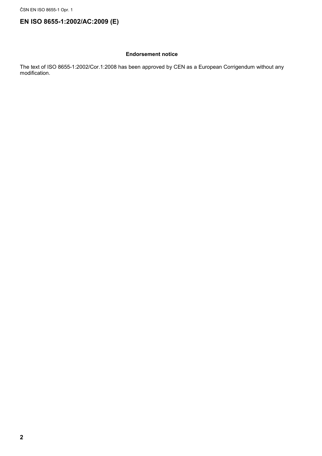ČSN EN ISO 8655-1 Opr. 1

### **EN ISO 8655-1:2002/AC:2009 (E)**

#### **Endorsement notice**

The text of ISO 8655-1:2002/Cor.1:2008 has been approved by CEN as a European Corrigendum without any modification.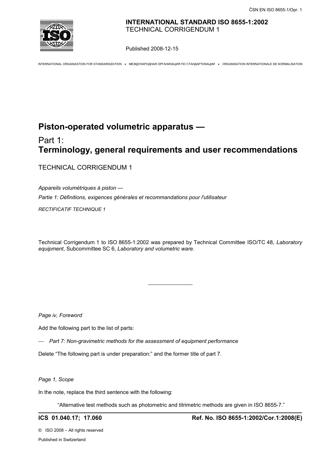

### **INTERNATIONAL STANDARD ISO 8655-1:2002**  TECHNICAL CORRIGENDUM 1

Published 2008-12-15

INTERNATIONAL ORGANIZATION FOR STANDARDIZATION • МЕЖДУНАРОДНАЯ ОРГАНИЗАЦИЯ ПО СТАНДАРТИЗАЦИИ • ORGANISATION INTERNATIONALE DE NORMALISATION

### **Piston-operated volumetric apparatus —**

### Part 1: **Terminology, general requirements and user recommendations**

TECHNICAL CORRIGENDUM 1

*Appareils volumétriques à piston — Partie 1: Définitions, exigences générales et recommandations pour l'utilisateur* 

*RECTIFICATIF TECHNIQUE 1*

Technical Corrigendum 1 to ISO 8655-1:2002 was prepared by Technical Committee ISO/TC 48, *Laboratory equipment*, Subcommittee SC 6, *Laboratory and volumetric ware*.

*Page iv, Foreword* 

Add the following part to the list of parts:

⎯ *Part 7: Non-gravimetric methods for the assessment of equipment performance* 

L

Delete "The following part is under preparation:" and the former title of part 7.

*Page 1, Scope* 

In the note, replace the third sentence with the following:

"Alternative test methods such as photometric and titrimetric methods are given in ISO 8655-7."

©ISO 2008 – All rights reserved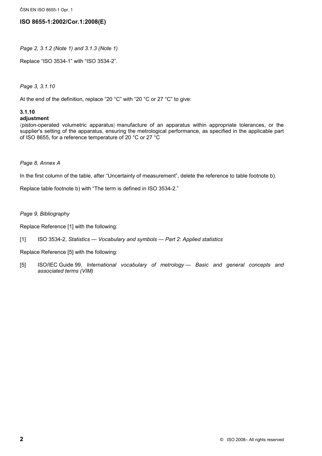ČSN EN ISO 8655-1 Opr. 1

### **ISO 8655-1:2002/Cor.1:2008(E)**

*Page 2, 3.1.2 (Note 1) and 3.1.3 (Note 1)* 

Replace "ISO 3534-1" with "ISO 3534-2".

*Page 3, 3.1.10* 

At the end of the definition, replace "20 °C" with "20 °C or 27 °C" to give:

### **3.1.10**

#### **adjustment**

〈piston-operated volumetric apparatus〉 manufacture of an apparatus within appropriate tolerances, or the supplier's setting of the apparatus, ensuring the metrological performance, as specified in the applicable part of ISO 8655, for a reference temperature of 20 °C or 27 °C

#### *Page 8, Annex A*

In the first column of the table, after "Uncertainty of measurement", delete the reference to table footnote b).

Replace table footnote b) with "The term is defined in ISO 3534-2."

#### *Page 9, Bibliography*

Replace Reference [1] with the following:

[1] ISO 3534-2, *Statistics — Vocabulary and symbols — Part 2: Applied statistics*

Replace Reference [5] with the following:

[5] ISO/IEC Guide 99, *International vocabulary of metrology — Basic and general concepts and associated terms (VIM)*